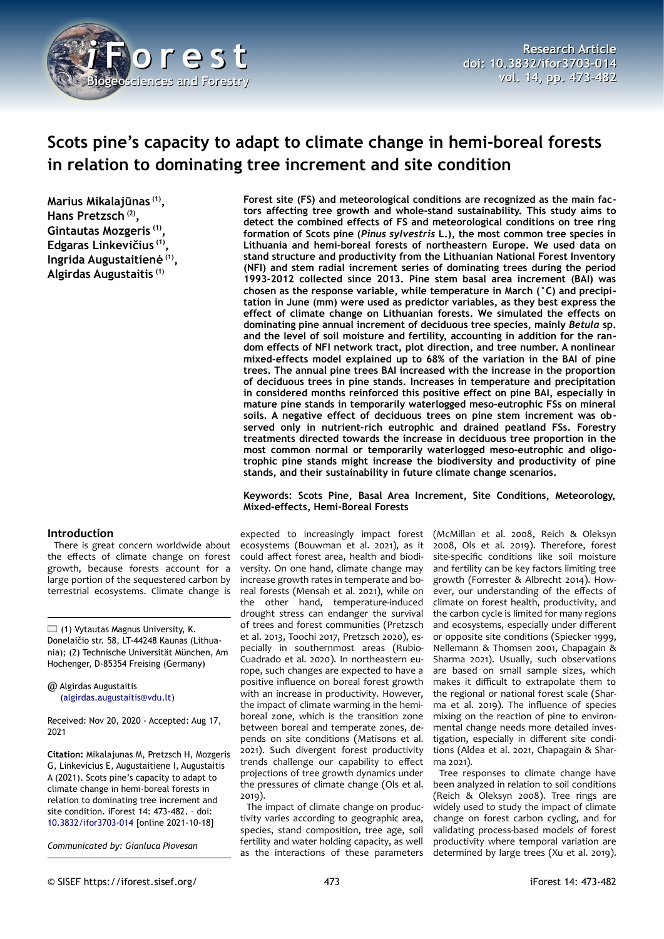

# **Scots pine's capacity to adapt to climate change in hemi-boreal forests in relation to dominating tree increment and site condition**

**Marius Mikalajūnas (1) , Hans Pretzsch (2) , Gintautas Mozgeris (1) , Edgaras Linkevičius (1) , Ingrida Augustaitienė (1) , Algirdas Augustaitis (1)**

# **Introduction**

There is great concern worldwide about the effects of climate change on forest growth, because forests account for a large portion of the sequestered carbon by terrestrial ecosystems. Climate change is

 $\Box$  (1) Vytautas Magnus University, K. Donelaičio str. 58, LT-44248 Kaunas (Lithuania); (2) Technische Universität München, Am Hochenger, D-85354 Freising (Germany)

@ Algirdas Augustaitis ([algirdas.augustaitis@vdu.lt\)](mailto:algirdas.augustaitis@vdu.lt)

Received: Nov 20, 2020 - Accepted: Aug 17, 2021

**Citation:** Mikalajunas M, Pretzsch H, Mozgeris G, Linkevicius E, Augustaitiene I, Augustaitis A (2021). Scots pine's capacity to adapt to climate change in hemi-boreal forests in relation to dominating tree increment and site condition. iForest 14: 473-482. – doi[:](http://www.sisef.it/iforest/contents/?id=ifor3703-014) [10.3832/ifor3703-014](http://www.sisef.it/iforest/contents/?id=ifor3703-014) [online 2021-10-18]

*Communicated by: Gianluca Piovesan*

**Forest site (FS) and meteorological conditions are recognized as the main factors affecting tree growth and whole-stand sustainability. This study aims to detect the combined effects of FS and meteorological conditions on tree ring formation of Scots pine (***Pinus sylvestris* **L.), the most common tree species in Lithuania and hemi-boreal forests of northeastern Europe. We used data on stand structure and productivity from the Lithuanian National Forest Inventory (NFI) and stem radial increment series of dominating trees during the period 1993-2012 collected since 2013. Pine stem basal area increment (BAI) was chosen as the response variable, while temperature in March (°C) and precipitation in June (mm) were used as predictor variables, as they best express the effect of climate change on Lithuanian forests. We simulated the effects on dominating pine annual increment of deciduous tree species, mainly** *Betula* **sp. and the level of soil moisture and fertility, accounting in addition for the random effects of NFI network tract, plot direction, and tree number. A nonlinear mixed-effects model explained up to 68% of the variation in the BAI of pine trees. The annual pine trees BAI increased with the increase in the proportion of deciduous trees in pine stands. Increases in temperature and precipitation in considered months reinforced this positive effect on pine BAI, especially in mature pine stands in temporarily waterlogged meso-eutrophic FSs on mineral soils. A negative effect of deciduous trees on pine stem increment was observed only in nutrient-rich eutrophic and drained peatland FSs. Forestry treatments directed towards the increase in deciduous tree proportion in the most common normal or temporarily waterlogged meso-eutrophic and oligotrophic pine stands might increase the biodiversity and productivity of pine stands, and their sustainability in future climate change scenarios.**

#### **Keywords: Scots Pine, Basal Area Increment, Site Conditions, Meteorology, Mixed-effects, Hemi-Boreal Forests**

expected to increasingly impact forest ecosystems (Bouwman et al. 2021), as it could affect forest area, health and biodiversity. On one hand, climate change may increase growth rates in temperate and boreal forests (Mensah et al. 2021), while on the other hand, temperature-induced drought stress can endanger the survival of trees and forest communities (Pretzsch et al. 2013, Toochi 2017, Pretzsch 2020), especially in southernmost areas (Rubio-Cuadrado et al. 2020). In northeastern europe, such changes are expected to have a positive influence on boreal forest growth with an increase in productivity. However, the impact of climate warming in the hemiboreal zone, which is the transition zone between boreal and temperate zones, depends on site conditions (Matisons et al. 2021). Such divergent forest productivity trends challenge our capability to effect projections of tree growth dynamics under the pressures of climate change (Ols et al. 2019).

The impact of climate change on productivity varies according to geographic area, species, stand composition, tree age, soil fertility and water holding capacity, as well as the interactions of these parameters

(McMillan et al. 2008, Reich & Oleksyn 2008, Ols et al. 2019). Therefore, forest site-specific conditions like soil moisture and fertility can be key factors limiting tree growth (Forrester & Albrecht 2014). However, our understanding of the effects of climate on forest health, productivity, and the carbon cycle is limited for many regions and ecosystems, especially under different or opposite site conditions (Spiecker 1999, Nellemann & Thomsen 2001, Chapagain & Sharma 2021). Usually, such observations are based on small sample sizes, which makes it difficult to extrapolate them to the regional or national forest scale (Sharma et al. 2019). The influence of species mixing on the reaction of pine to environmental change needs more detailed investigation, especially in different site conditions (Aldea et al. 2021, Chapagain & Sharma 2021).

Tree responses to climate change have been analyzed in relation to soil conditions (Reich & Oleksyn 2008). Tree rings are widely used to study the impact of climate change on forest carbon cycling, and for validating process-based models of forest productivity where temporal variation are determined by large trees (Xu et al. 2019).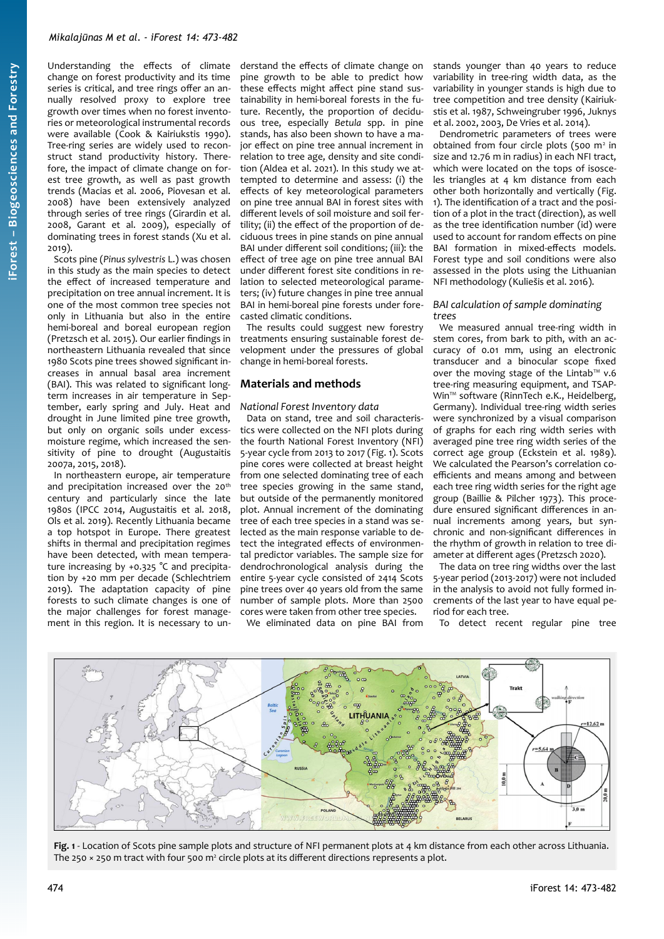Understanding the effects of climate change on forest productivity and its time series is critical, and tree rings offer an annually resolved proxy to explore tree growth over times when no forest inventories or meteorological instrumental records were available (Cook & Kairiukstis 1990). Tree-ring series are widely used to reconstruct stand productivity history. Therefore, the impact of climate change on forest tree growth, as well as past growth trends (Macias et al. 2006, Piovesan et al. 2008) have been extensively analyzed through series of tree rings (Girardin et al. 2008, Garant et al. 2009), especially of dominating trees in forest stands (Xu et al. 2019).

Scots pine (*Pinus sylvestris* L.) was chosen in this study as the main species to detect the effect of increased temperature and precipitation on tree annual increment. It is one of the most common tree species not only in Lithuania but also in the entire hemi-boreal and boreal european region (Pretzsch et al. 2015). Our earlier findings in northeastern Lithuania revealed that since 1980 Scots pine trees showed significant increases in annual basal area increment (BAI). This was related to significant longterm increases in air temperature in September, early spring and July. Heat and drought in June limited pine tree growth, but only on organic soils under excessmoisture regime, which increased the sensitivity of pine to drought (Augustaitis 2007a, 2015, 2018).

In northeastern europe, air temperature and precipitation increased over the 20<sup>th</sup> century and particularly since the late 1980s (IPCC 2014, Augustaitis et al. 2018, Ols et al. 2019). Recently Lithuania became a top hotspot in Europe. There greatest shifts in thermal and precipitation regimes have been detected, with mean temperature increasing by +0.325 °C and precipitation by +20 mm per decade (Schlechtriem 2019). The adaptation capacity of pine forests to such climate changes is one of the major challenges for forest management in this region. It is necessary to understand the effects of climate change on pine growth to be able to predict how these effects might affect pine stand sustainability in hemi-boreal forests in the future. Recently, the proportion of deciduous tree, especially *Betula* spp. in pine stands, has also been shown to have a major effect on pine tree annual increment in relation to tree age, density and site condition (Aldea et al. 2021). In this study we attempted to determine and assess: (i) the effects of key meteorological parameters on pine tree annual BAI in forest sites with different levels of soil moisture and soil fertility; (ii) the effect of the proportion of deciduous trees in pine stands on pine annual BAI under different soil conditions; (iii): the effect of tree age on pine tree annual BAI under different forest site conditions in relation to selected meteorological parameters; (iv) future changes in pine tree annual BAI in hemi-boreal pine forests under forecasted climatic conditions.

The results could suggest new forestry treatments ensuring sustainable forest development under the pressures of global change in hemi-boreal forests.

# **Materials and methods**

#### *National Forest Inventory data*

Data on stand, tree and soil characteristics were collected on the NFI plots during the fourth National Forest Inventory (NFI) 5-year cycle from 2013 to 2017 ([Fig. 1\)](#page-1-0). Scots pine cores were collected at breast height from one selected dominating tree of each tree species growing in the same stand, but outside of the permanently monitored plot. Annual increment of the dominating tree of each tree species in a stand was selected as the main response variable to detect the integrated effects of environmental predictor variables. The sample size for dendrochronological analysis during the entire 5-year cycle consisted of 2414 Scots pine trees over 40 years old from the same number of sample plots. More than 2500 cores were taken from other tree species.

We eliminated data on pine BAI from

stands younger than 40 years to reduce variability in tree-ring width data, as the variability in younger stands is high due to tree competition and tree density (Kairiukstis et al. 1987, Schweingruber 1996, Juknys et al. 2002, 2003, De Vries et al. 2014).

Dendrometric parameters of trees were obtained from four circle plots (500 m<sup>2</sup> in size and 12.76 m in radius) in each NFI tract, which were located on the tops of isosceles triangles at 4 km distance from each other both horizontally and vertically [\(Fig.](#page-1-0) [1\)](#page-1-0). The identification of a tract and the position of a plot in the tract (direction), as well as the tree identification number (id) were used to account for random effects on pine BAI formation in mixed-effects models. Forest type and soil conditions were also assessed in the plots using the Lithuanian NFI methodology (Kuliešis et al. 2016).

## *BAI calculation of sample dominating trees*

We measured annual tree-ring width in stem cores, from bark to pith, with an accuracy of 0.01 mm, using an electronic transducer and a binocular scope fixed over the moving stage of the Lintab™ v.6 tree-ring measuring equipment, and TSAP-Win™ software (RinnTech e.K., Heidelberg, Germany). Individual tree-ring width series were synchronized by a visual comparison of graphs for each ring width series with averaged pine tree ring width series of the correct age group (Eckstein et al. 1989). We calculated the Pearson's correlation coefficients and means among and between each tree ring width series for the right age group (Baillie & Pilcher 1973). This procedure ensured significant differences in annual increments among years, but synchronic and non-significant differences in the rhythm of growth in relation to tree diameter at different ages (Pretzsch 2020).

The data on tree ring widths over the last 5-year period (2013-2017) were not included in the analysis to avoid not fully formed increments of the last year to have equal period for each tree.

To detect recent regular pine tree



<span id="page-1-0"></span>**Fig. 1** - Location of Scots pine sample plots and structure of NFI permanent plots at 4 km distance from each other across Lithuania. The 250  $\times$  250 m tract with four 500 m<sup>2</sup> circle plots at its different directions represents a plot.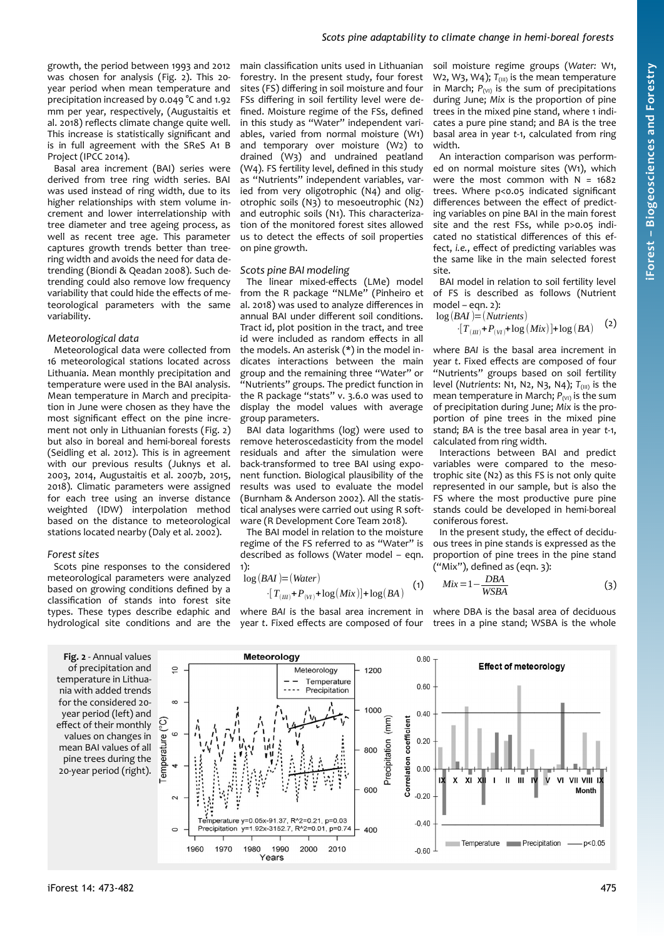growth, the period between 1993 and 2012 was chosen for analysis ([Fig. 2\)](#page-2-0). This 20 year period when mean temperature and precipitation increased by 0.049 °C and 1.92 mm per year, respectively, (Augustaitis et al. 2018) reflects climate change quite well. This increase is statistically significant and is in full agreement with the SReS A1 B Project (IPCC 2014).

Basal area increment (BAI) series were derived from tree ring width series. BAI was used instead of ring width, due to its higher relationships with stem volume increment and lower interrelationship with tree diameter and tree ageing process, as well as recent tree age. This parameter captures growth trends better than treering width and avoids the need for data detrending (Biondi & Qeadan 2008). Such detrending could also remove low frequency variability that could hide the effects of meteorological parameters with the same variability.

#### *Meteorological data*

Meteorological data were collected from 16 meteorological stations located across Lithuania. Mean monthly precipitation and temperature were used in the BAI analysis. Mean temperature in March and precipitation in June were chosen as they have the most significant effect on the pine increment not only in Lithuanian forests ([Fig. 2\)](#page-2-0) but also in boreal and hemi-boreal forests (Seidling et al. 2012). This is in agreement with our previous results (Juknys et al. 2003, 2014, Augustaitis et al. 2007b, 2015, 2018). Climatic parameters were assigned for each tree using an inverse distance weighted (IDW) interpolation method based on the distance to meteorological stations located nearby (Daly et al. 2002).

#### *Forest sites*

Scots pine responses to the considered meteorological parameters were analyzed based on growing conditions defined by a classification of stands into forest site types. These types describe edaphic and hydrological site conditions and are the

<span id="page-2-0"></span>**Fig. 2** - Annual values of precipitation and temperature in Lithuania with added trends for the considered 20 year period (left) and effect of their monthly values on changes in mean BAI values of all pine trees during the 20-year period (right). main classification units used in Lithuanian forestry. In the present study, four forest sites (FS) differing in soil moisture and four FSs differing in soil fertility level were defined. Moisture regime of the FSs, defined in this study as "Water" independent variables, varied from normal moisture (W1) and temporary over moisture (W2) to drained (W3) and undrained peatland (W4). FS fertility level, defined in this study as "Nutrients" independent variables, varied from very oligotrophic (N4) and oligotrophic soils (N3) to mesoeutrophic (N2) and eutrophic soils (N1). This characterization of the monitored forest sites allowed us to detect the effects of soil properties on pine growth.

#### *Scots pine BAI modeling*

The linear mixed-effects (LMe) model from the R package "NLMe" (Pinheiro et al. 2018) was used to analyze differences in annual BAI under different soil conditions. Tract id, plot position in the tract, and tree id were included as random effects in all the models. An asterisk (\*) in the model indicates interactions between the main group and the remaining three "Water" or "Nutrients" groups. The predict function in the R package "stats" v. 3.6.0 was used to display the model values with average group parameters.

BAI data logarithms (log) were used to remove heteroscedasticity from the model residuals and after the simulation were back-transformed to tree BAI using exponent function. Biological plausibility of the results was used to evaluate the model (Burnham & Anderson 2002). All the statistical analyses were carried out using R software (R Development Core Team 2018).

The BAI model in relation to the moisture regime of the FS referred to as "Water" is described as follows (Water model – eqn. 1):

$$
\log(BAI) = (Water)
$$
  
\n
$$
\cdot [T_{(III)} + P_{(VI)} + \log(Mix)] + \log(BA)
$$
 (1)

where *BAI* is the basal area increment in year *t*. Fixed effects are composed of four soil moisture regime groups (*Water:* W1, W2, W3, W4);  $T_{(III)}$  is the mean temperature in March;  $P_{(VI)}$  is the sum of precipitations during June; *Mix* is the proportion of pine trees in the mixed pine stand, where 1 indicates a pure pine stand; and *BA* is the tree basal area in year *t*-1, calculated from ring width.

An interaction comparison was performed on normal moisture sites (W1), which were the most common with  $N = 1682$ trees. Where p<0.05 indicated significant differences between the effect of predicting variables on pine BAI in the main forest site and the rest FSs, while p>0.05 indicated no statistical differences of this effect, *i.e.*, effect of predicting variables was the same like in the main selected forest site.

BAI model in relation to soil fertility level of FS is described as follows (Nutrient model – eqn. 2):  $log(RAI) = (N$ 

$$
g(BH) = (Nult lens)
$$
  
\n
$$
[T_{(m)} + P_{(M)} + \log(Mix)] + \log(BA)
$$
 (2)

where *BAI* is the basal area increment in year *t*. Fixed effects are composed of four "Nutrients" groups based on soil fertility level (*Nutrients*: N1, N2, N3, N4); *T*(III) is the mean temperature in March;  $P_{(VI)}$  is the sum of precipitation during June; *Mix* is the proportion of pine trees in the mixed pine stand; *BA* is the tree basal area in year *t*-1, calculated from ring width.

Interactions between BAI and predict variables were compared to the mesotrophic site (N2) as this FS is not only quite represented in our sample, but is also the FS where the most productive pure pine stands could be developed in hemi-boreal coniferous forest.

In the present study, the effect of deciduous trees in pine stands is expressed as the proportion of pine trees in the pine stand  $("Mix")$ , defined as  $(eqn. 3):$ 

$$
Mix = 1 - \frac{DBA}{WSBA} \tag{3}
$$

where DBA is the basal area of deciduous trees in a pine stand; WSBA is the whole

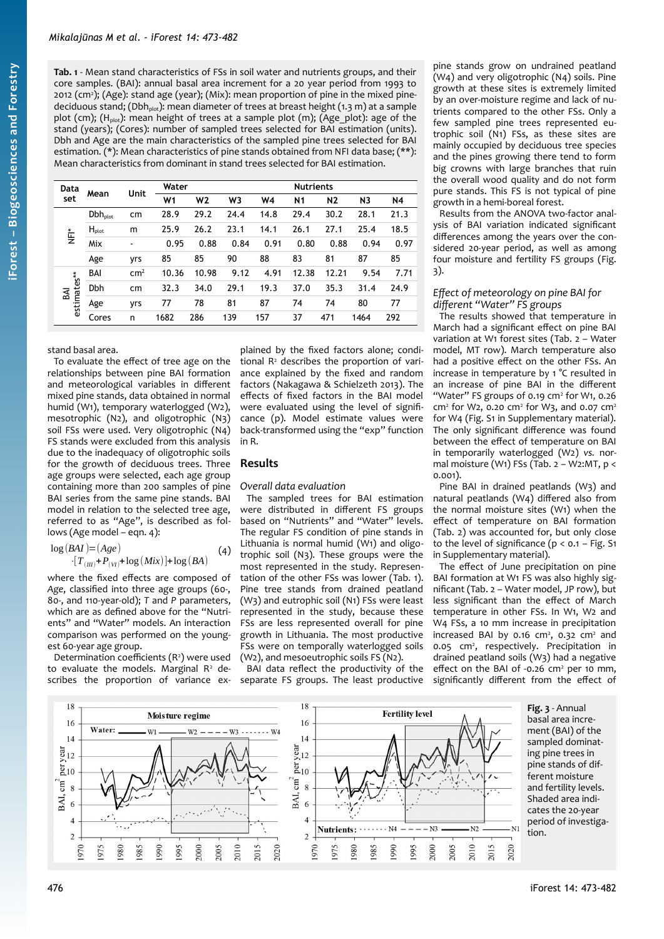<span id="page-3-1"></span>**Tab. 1** - Mean stand characteristics of FSs in soil water and nutrients groups, and their core samples. (BAI): annual basal area increment for a 20 year period from 1993 to 2012 (cm<sup>2</sup>); (Age): stand age (year); (Mix): mean proportion of pine in the mixed pinedeciduous stand; (Dbh<sub>plot</sub>): mean diameter of trees at breast height (1.3 m) at a sample plot (cm);  $(H_{plot})$ : mean height of trees at a sample plot (m); (Age\_plot): age of the stand (years); (Cores): number of sampled trees selected for BAI estimation (units). Dbh and Age are the main characteristics of the sampled pine trees selected for BAI estimation. (\*): Mean characteristics of pine stands obtained from NFI data base; (\*\*): Mean characteristics from dominant in stand trees selected for BAI estimation.

| Data<br>set            | Mean         | Unit            | Water          |       |      |      | <b>Nutrients</b> |                |                |           |
|------------------------|--------------|-----------------|----------------|-------|------|------|------------------|----------------|----------------|-----------|
|                        |              |                 | W <sub>1</sub> | W2    | W3   | W4   | N <sub>1</sub>   | N <sub>2</sub> | N <sub>3</sub> | <b>N4</b> |
| $\stackrel{*}{\equiv}$ | $Dbh_{plot}$ | cm              | 28.9           | 29.2  | 24.4 | 14.8 | 29.4             | 30.2           | 28.1           | 21.3      |
|                        | $H_{plot}$   | m               | 25.9           | 26.2  | 23.1 | 14.1 | 26.1             | 27.1           | 25.4           | 18.5      |
|                        | Mix          | $\blacksquare$  | 0.95           | 0.88  | 0.84 | 0.91 | 0.80             | 0.88           | 0.94           | 0.97      |
|                        | Age          | yrs             | 85             | 85    | 90   | 88   | 83               | 81             | 87             | 85        |
| estimates**<br>ВĀІ     | BAI          | cm <sup>2</sup> | 10.36          | 10.98 | 9.12 | 4.91 | 12.38            | 12.21          | 9.54           | 7.71      |
|                        | <b>Dbh</b>   | cm              | 32.3           | 34.0  | 29.1 | 19.3 | 37.0             | 35.3           | 31.4           | 24.9      |
|                        | Age          | <b>Vrs</b>      | 77             | 78    | 81   | 87   | 74               | 74             | 80             | 77        |
|                        | Cores        | n               | 1682           | 286   | 139  | 157  | 37               | 471            | 1464           | 292       |

## stand basal area.

To evaluate the effect of tree age on the relationships between pine BAI formation and meteorological variables in different mixed pine stands, data obtained in normal humid (W1), temporary waterlogged (W2), mesotrophic (N2), and oligotrophic (N3) soil FSs were used. Very oligotrophic (N4) FS stands were excluded from this analysis due to the inadequacy of oligotrophic soils for the growth of deciduous trees. Three age groups were selected, each age group containing more than 200 samples of pine BAI series from the same pine stands. BAI model in relation to the selected tree age, referred to as "Age", is described as follows (Age model – eqn. 4):

$$
\log(BAI) = (Age)
$$
  
·[ $T_{(III)}+P_{(VI)}+log(Mix)$ ] + log(BA) (4)

where the fixed effects are composed of *Age*, classified into three age groups (60-, 80-, and 110-year-old); *T* and *P* parameters, which are as defined above for the "Nutrients" and "Water" models. An interaction comparison was performed on the youngest 60-year age group.

Determination coefficients  $(R<sup>2</sup>)$  were used to evaluate the models. Marginal  $R<sup>2</sup>$  describes the proportion of variance ex-

plained by the fixed factors alone; conditional R<sup>2</sup> describes the proportion of variance explained by the fixed and random factors (Nakagawa & Schielzeth 2013). The effects of fixed factors in the BAI model were evaluated using the level of significance (p). Model estimate values were back-transformed using the "exp" function in R.

# **Results**

#### *Overall data evaluation*

The sampled trees for BAI estimation were distributed in different FS groups based on "Nutrients" and "Water" levels. The regular FS condition of pine stands in Lithuania is normal humid (W1) and oligotrophic soil (N3). These groups were the most represented in the study. Representation of the other FSs was lower [\(Tab. 1](#page-3-1)). Pine tree stands from drained peatland (W3) and eutrophic soil (N1) FSs were least represented in the study, because these FSs are less represented overall for pine growth in Lithuania. The most productive FSs were on temporally waterlogged soils (W2), and mesoeutrophic soils FS (N2).

BAI data reflect the productivity of the separate FS groups. The least productive

pine stands grow on undrained peatland (W4) and very oligotrophic (N4) soils. Pine growth at these sites is extremely limited by an over-moisture regime and lack of nutrients compared to the other FSs. Only a few sampled pine trees represented eutrophic soil (N1) FSs, as these sites are mainly occupied by deciduous tree species and the pines growing there tend to form big crowns with large branches that ruin the overall wood quality and do not form pure stands. This FS is not typical of pine growth in a hemi-boreal forest.

Results from the ANOVA two-factor analysis of BAI variation indicated significant differences among the years over the considered 20-year period, as well as among four moisture and fertility FS groups [\(Fig.](#page-3-0) [3\)](#page-3-0).

#### *Effect of meteorology on pine BAI for different "Water" FS groups*

The results showed that temperature in March had a significant effect on pine BAI variation at W1 forest sites ([Tab. 2](#page-4-0) – Water model, MT row). March temperature also had a positive effect on the other FSs. An increase in temperature by 1 °C resulted in an increase of pine BAI in the different "Water" FS groups of 0.19 cm<sup>2</sup> for W1, 0.26 cm<sup>2</sup> for W2, 0.20 cm<sup>2</sup> for W3, and 0.07 cm<sup>2</sup> for W4 (Fig. S1 in Supplementary material). The only significant difference was found between the effect of temperature on BAI in temporarily waterlogged (W2) *vs.* normal moisture (W1) FSs (Tab.  $2 - W2$ :MT,  $p <$ 0.001).

Pine BAI in drained peatlands (W3) and natural peatlands (W4) differed also from the normal moisture sites (W1) when the effect of temperature on BAI formation [\(Tab. 2\)](#page-4-0) was accounted for, but only close to the level of significance ( $p < 0.1 - Fig. S1$ in Supplementary material).

The effect of June precipitation on pine BAI formation at W1 FS was also highly significant ([Tab. 2](#page-4-0) – Water model, JP row), but less significant than the effect of March temperature in other FSs. In W1, W2 and W4 FSs, a 10 mm increase in precipitation increased BAI by  $0.16$  cm<sup>2</sup>,  $0.32$  cm<sup>2</sup> and 0.05 cm<sup>2</sup>, respectively. Precipitation in drained peatland soils (W3) had a negative effect on the BAI of  $-0.26$  cm<sup>2</sup> per 10 mm, significantly different from the effect of



<span id="page-3-0"></span>**Fig. 3** - Annual basal area increment (BAI) of the sampled dominating pine trees in pine stands of different moisture and fertility levels. Shaded area indicates the 20-year period of investigation.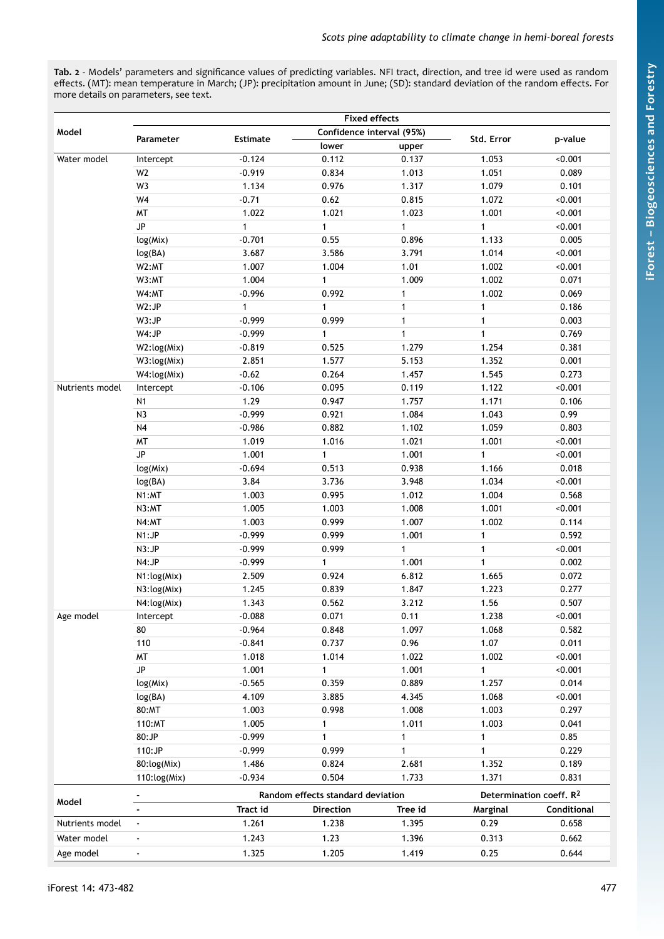<span id="page-4-0"></span>**Tab. 2** - Models' parameters and significance values of predicting variables. NFI tract, direction, and tree id were used as random effects. (MT): mean temperature in March; (JP): precipitation amount in June; (SD): standard deviation of the random effects. For more details on parameters, see text.

| Model           |                | <b>Estimate</b> | Confidence interval (95%)         |              | Std. Error                          | p-value     |  |
|-----------------|----------------|-----------------|-----------------------------------|--------------|-------------------------------------|-------------|--|
|                 | Parameter      |                 | lower                             | upper        |                                     |             |  |
| Water model     | Intercept      | $-0.124$        | 0.112                             | 0.137        | 1.053                               | 0.001       |  |
|                 | W <sub>2</sub> | $-0.919$        | 0.834                             | 1.013        | 1.051                               | 0.089       |  |
|                 | W3             | 1.134           | 0.976                             | 1.317        | 1.079                               | 0.101       |  |
|                 | W4             | $-0.71$         | 0.62                              | 0.815        | 1.072                               | < 0.001     |  |
|                 | <b>MT</b>      | 1.022           | 1.021                             | 1.023        | 1.001                               | < 0.001     |  |
|                 | JP             | $\mathbf{1}$    | 1                                 | $\mathbf{1}$ | $\mathbf{1}$                        | < 0.001     |  |
|                 | log(Mix)       | $-0.701$        | 0.55                              | 0.896        | 1.133                               | 0.005       |  |
|                 | log(BA)        | 3.687           | 3.586                             | 3.791        | 1.014                               | < 0.001     |  |
|                 | W2:MT          | 1.007           | 1.004                             | 1.01         | 1.002                               | < 0.001     |  |
|                 | W3:MT          | 1.004           | 1                                 | 1.009        | 1.002                               | 0.071       |  |
|                 | W4:MT          | $-0.996$        | 0.992                             | $\mathbf{1}$ | 1.002                               | 0.069       |  |
|                 | W2:JP          | 1               | 1                                 | $\mathbf{1}$ | $\mathbf{1}$                        | 0.186       |  |
|                 | W3:JP          | $-0.999$        | 0.999                             | $\mathbf{1}$ | $\mathbf{1}$                        | 0.003       |  |
|                 | W4:JP          | $-0.999$        | $\mathbf{1}$                      | $\mathbf{1}$ | $\mathbf{1}$                        | 0.769       |  |
|                 | W2:log(Mix)    | $-0.819$        | 0.525                             | 1.279        | 1.254                               | 0.381       |  |
|                 | W3:log(Mix)    | 2.851           | 1.577                             | 5.153        | 1.352                               | 0.001       |  |
|                 | W4:log(Mix)    | $-0.62$         | 0.264                             | 1.457        | 1.545                               | 0.273       |  |
| Nutrients model | Intercept      | $-0.106$        | 0.095                             | 0.119        | 1.122                               | 0.001       |  |
|                 | N <sub>1</sub> | 1.29            | 0.947                             | 1.757        | 1.171                               | 0.106       |  |
|                 | N <sub>3</sub> | $-0.999$        | 0.921                             | 1.084        | 1.043                               | 0.99        |  |
|                 | N <sub>4</sub> | $-0.986$        | 0.882                             | 1.102        | 1.059                               | 0.803       |  |
|                 | <b>MT</b>      | 1.019           | 1.016                             | 1.021        | 1.001                               | < 0.001     |  |
|                 | JP             | 1.001           | 1                                 | 1.001        | $\mathbf{1}$                        | < 0.001     |  |
|                 | log(Mix)       | $-0.694$        | 0.513                             | 0.938        | 1.166                               | 0.018       |  |
|                 | log(BA)        | 3.84            | 3.736                             | 3.948        | 1.034                               | < 0.001     |  |
|                 | N1:MT          | 1.003           | 0.995                             | 1.012        | 1.004                               | 0.568       |  |
|                 | N3:MT          | 1.005           | 1.003                             | 1.008        | 1.001                               | < 0.001     |  |
|                 | N4:MT          | 1.003           | 0.999                             | 1.007        | 1.002                               | 0.114       |  |
|                 | N1:JP          | $-0.999$        | 0.999                             | 1.001        | 1                                   | 0.592       |  |
|                 | N3:JP          | $-0.999$        | 0.999                             | $\mathbf{1}$ | $\mathbf{1}$                        | < 0.001     |  |
|                 | N4:JP          | $-0.999$        | $\mathbf{1}$                      | 1.001        | $\mathbf{1}$                        | 0.002       |  |
|                 | N1:log(Mix)    | 2.509           | 0.924                             | 6.812        | 1.665                               | 0.072       |  |
|                 | N3:log(Mix)    | 1.245           | 0.839                             | 1.847        | 1.223                               | 0.277       |  |
|                 | N4:log(Mix)    | 1.343           | 0.562                             | 3.212        | 1.56                                | 0.507       |  |
| Age model       | Intercept      | $-0.088$        | 0.071                             | 0.11         | 1.238                               | 0.001       |  |
|                 | 80             | $-0.964$        | 0.848                             | 1.097        | 1.068                               | 0.582       |  |
|                 | 110            | $-0.841$        | 0.737                             | 0.96         | 1.07                                | 0.011       |  |
|                 | MT             | 1.018           | 1.014                             | 1.022        | 1.002                               | < 0.001     |  |
|                 | JP             | 1.001           | 1                                 | 1.001        | 1                                   | < 0.001     |  |
|                 | log(Mix)       | $-0.565$        | 0.359                             | 0.889        | 1.257                               | 0.014       |  |
|                 | log(BA)        | 4.109           | 3.885                             | 4.345        | 1.068                               | < 0.001     |  |
|                 | 80:MT          | 1.003           | 0.998                             | 1.008        | 1.003                               | 0.297       |  |
|                 | 110:MT         | 1.005           | 1                                 | 1.011        | 1.003                               | 0.041       |  |
|                 | 80:JP          | $-0.999$        | 1                                 | $\mathbf{1}$ | 1                                   | 0.85        |  |
|                 | 110:JP         | $-0.999$        | 0.999                             | $\mathbf{1}$ | $\mathbf{1}$                        | 0.229       |  |
|                 | 80:log(Mix)    | 1.486           | 0.824                             | 2.681        | 1.352                               | 0.189       |  |
|                 | 110:log(Mix)   | $-0.934$        | 0.504                             | 1.733        | 1.371                               | 0.831       |  |
| Model           |                |                 | Random effects standard deviation |              | Determination coeff, R <sup>2</sup> |             |  |
|                 |                | Tract id        | <b>Direction</b>                  | Tree id      | Marginal                            | Conditional |  |
| Nutrients model | $\blacksquare$ | 1.261           | 1.238                             | 1.395        | 0.29                                | 0.658       |  |
| Water model     |                | 1.243           | 1.23                              | 1.396        | 0.313                               | 0.662       |  |
| Age model       |                | 1.325           | 1.205                             | 1.419        | 0.25                                | 0.644       |  |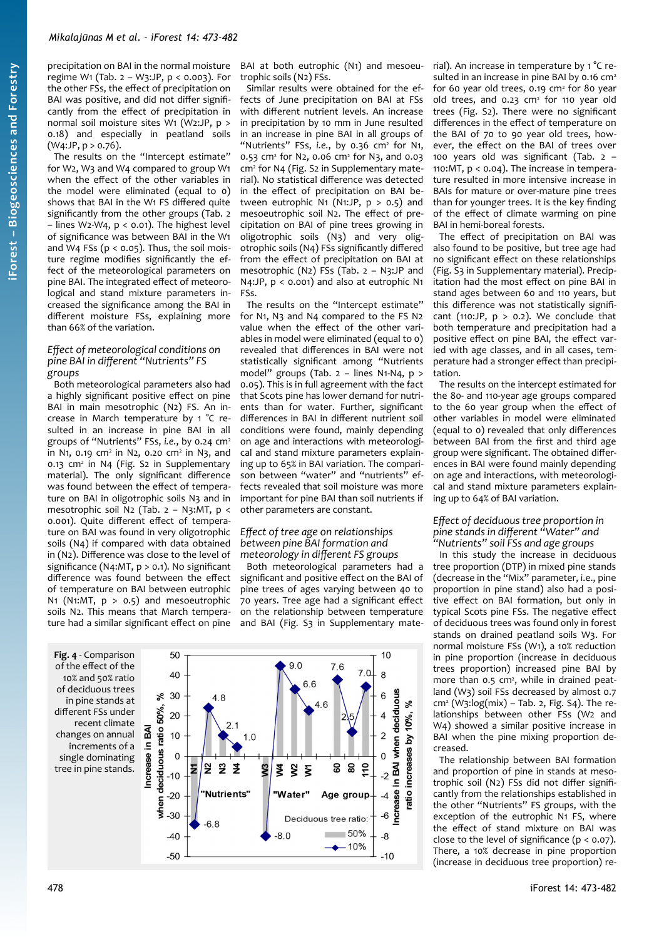precipitation on BAI in the normal moisture regime W1 (Tab.  $2 - W3$ : JP,  $p < 0.003$ ). For the other FSs, the effect of precipitation on BAI was positive, and did not differ significantly from the effect of precipitation in normal soil moisture sites W1 (W2:JP, p > 0.18) and especially in peatland soils  $(W4:JP, p > 0.76)$ .

The results on the "Intercept estimate" for W2, W3 and W4 compared to group W1 when the effect of the other variables in the model were eliminated (equal to 0) shows that BAI in the W1 FS differed quite significantly from the other groups ([Tab. 2](#page-4-0) – lines W2-W4, p < 0.01). The highest level of significance was between BAI in the W1 and W4 FSs ( $p < 0.05$ ). Thus, the soil moisture regime modifies significantly the effect of the meteorological parameters on pine BAI. The integrated effect of meteorological and stand mixture parameters increased the significance among the BAI in different moisture FSs, explaining more than 66% of the variation.

## *Effect of meteorological conditions on pine BAI in different "Nutrients" FS groups*

Both meteorological parameters also had a highly significant positive effect on pine BAI in main mesotrophic (N2) FS. An increase in March temperature by 1 °C resulted in an increase in pine BAI in all groups of "Nutrients" FSs, *i.e.*, by 0.24 cm<sup>2</sup> in N1, 0.19 cm<sup>2</sup> in N2, 0.20 cm<sup>2</sup> in N3, and 0.13 cm<sup>2</sup> in N4 (Fig. S2 in Supplementary material). The only significant difference was found between the effect of temperature on BAI in oligotrophic soils N3 and in mesotrophic soil N2 ([Tab. 2](#page-4-0) – N3:MT, p < 0.001). Quite different effect of temperature on BAI was found in very oligotrophic soils (N4) if compared with data obtained in (N2). Difference was close to the level of significance (N4:MT, p > 0.1). No significant difference was found between the effect of temperature on BAI between eutrophic N1 (N1:MT,  $p > 0.5$ ) and mesoeutrophic soils N2. This means that March temperature had a similar significant effect on pine

<span id="page-5-0"></span>**Fig. 4** - Comparison of the effect of the 10% and 50% ratio of deciduous trees in pine stands at different FSs under recent climate changes on annual increments of a single dominating tree in pine stands.

BAI at both eutrophic (N1) and mesoeutrophic soils (N2) FSs.

Similar results were obtained for the effects of June precipitation on BAI at FSs with different nutrient levels. An increase in precipitation by 10 mm in June resulted in an increase in pine BAI in all groups of "Nutrients" FSs, i.e., by 0.36 cm<sup>2</sup> for N1, 0.53 cm<sup>2</sup> for N2, 0.06 cm<sup>2</sup> for N3, and 0.03 cm<sup>2</sup> for N4 (Fig. S2 in Supplementary material). No statistical difference was detected in the effect of precipitation on BAI between eutrophic N1 (N1:JP,  $p > 0.5$ ) and mesoeutrophic soil N2. The effect of precipitation on BAI of pine trees growing in oligotrophic soils (N3) and very oligotrophic soils (N4) FSs significantly differed from the effect of precipitation on BAI at mesotrophic (N2) FSs [\(Tab. 2](#page-4-0) – N3:JP and N4:JP, p < 0.001) and also at eutrophic N1 FSs.

The results on the "Intercept estimate" for N1, N3 and N4 compared to the FS N2 value when the effect of the other variables in model were eliminated (equal to 0) revealed that differences in BAI were not statistically significant among "Nutrients model" groups [\(Tab. 2](#page-4-0) – lines N1-N4, p > 0.05). This is in full agreement with the fact that Scots pine has lower demand for nutrients than for water. Further, significant differences in BAI in different nutrient soil conditions were found, mainly depending on age and interactions with meteorological and stand mixture parameters explaining up to 65% in BAI variation. The comparison between "water" and "nutrients" effects revealed that soil moisture was more important for pine BAI than soil nutrients if other parameters are constant.

# *Effect of tree age on relationships between pine BAI formation and meteorology in different FS groups*

Both meteorological parameters had a significant and positive effect on the BAI of pine trees of ages varying between 40 to 70 years. Tree age had a significant effect on the relationship between temperature and BAI (Fig. S<sub>3</sub> in Supplementary mate-



rial). An increase in temperature by 1 °C resulted in an increase in pine BAI by 0.16  $cm<sup>2</sup>$ for 60 year old trees, 0.19 cm<sup>2</sup> for 80 year old trees, and  $0.23$  cm<sup>2</sup> for 110 year old trees (Fig. S2). There were no significant differences in the effect of temperature on the BAI of 70 to 90 year old trees, however, the effect on the BAI of trees over 100 years old was significant [\(Tab. 2](#page-4-0) – 110:MT, p < 0.04). The increase in temperature resulted in more intensive increase in BAIs for mature or over-mature pine trees than for younger trees. It is the key finding of the effect of climate warming on pine BAI in hemi-boreal forests.

The effect of precipitation on BAI was also found to be positive, but tree age had no significant effect on these relationships (Fig. S3 in Supplementary material). Precipitation had the most effect on pine BAI in stand ages between 60 and 110 years, but this difference was not statistically significant (110:JP,  $p > 0.2$ ). We conclude that both temperature and precipitation had a positive effect on pine BAI, the effect varied with age classes, and in all cases, temperature had a stronger effect than precipitation.

The results on the intercept estimated for the 80- and 110-year age groups compared to the 60 year group when the effect of other variables in model were eliminated (equal to 0) revealed that only differences between BAI from the first and third age group were significant. The obtained differences in BAI were found mainly depending on age and interactions, with meteorological and stand mixture parameters explaining up to 64% of BAI variation.

# *Effect of deciduous tree proportion in pine stands in different "Water" and "Nutrients" soil FSs and age groups*

In this study the increase in deciduous tree proportion (DTP) in mixed pine stands (decrease in the "Mix" parameter, i.e., pine proportion in pine stand) also had a positive effect on BAI formation, but only in typical Scots pine FSs. The negative effect of deciduous trees was found only in forest stands on drained peatland soils W3. For normal moisture FSs (W1), a 10% reduction in pine proportion (increase in deciduous trees proportion) increased pine BAI by more than 0.5 cm<sup>2</sup>, while in drained peatland (W3) soil FSs decreased by almost 0.7 cm<sup>2</sup> (W3:log(mix) – [Tab. 2](#page-4-0), Fig. S4). The relationships between other FSs (W2 and W4) showed a similar positive increase in BAI when the pine mixing proportion decreased.

The relationship between BAI formation and proportion of pine in stands at mesotrophic soil (N2) FSs did not differ significantly from the relationships established in the other "Nutrients" FS groups, with the exception of the eutrophic N1 FS, where the effect of stand mixture on BAI was close to the level of significance  $(p < 0.07)$ . There, a 10% decrease in pine proportion (increase in deciduous tree proportion) re-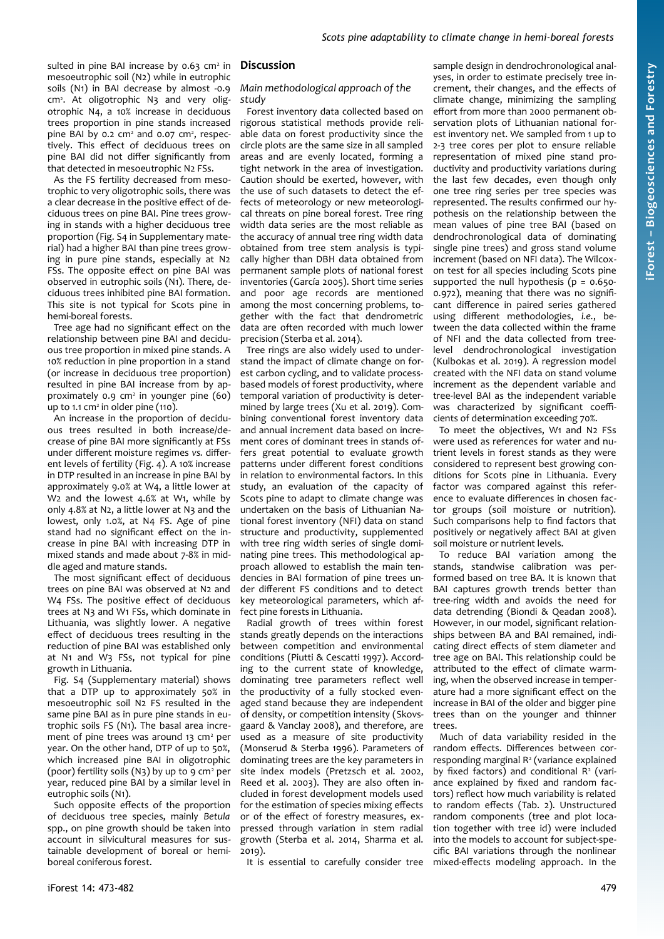sulted in pine BAI increase by 0.63 cm<sup>2</sup> in mesoeutrophic soil (N2) while in eutrophic soils (N1) in BAI decrease by almost -0.9 cm<sup>2</sup>. At oligotrophic N3 and very oligotrophic N4, a 10% increase in deciduous trees proportion in pine stands increased pine BAI by  $0.2 \text{ cm}^2$  and  $0.07 \text{ cm}^2$ , respectively. This effect of deciduous trees on pine BAI did not differ significantly from that detected in mesoeutrophic N2 FSs.

As the FS fertility decreased from mesotrophic to very oligotrophic soils, there was a clear decrease in the positive effect of deciduous trees on pine BAI. Pine trees growing in stands with a higher deciduous tree proportion (Fig. S4 in Supplementary material) had a higher BAI than pine trees growing in pure pine stands, especially at N2 FSs. The opposite effect on pine BAI was observed in eutrophic soils (N1). There, deciduous trees inhibited pine BAI formation. This site is not typical for Scots pine in hemi-boreal forests.

Tree age had no significant effect on the relationship between pine BAI and deciduous tree proportion in mixed pine stands. A 10% reduction in pine proportion in a stand (or increase in deciduous tree proportion) resulted in pine BAI increase from by approximately 0.9 cm<sup>2</sup> in younger pine (60) up to  $1.1 \text{ cm}^2$  in older pine ( $110$ ).

An increase in the proportion of deciduous trees resulted in both increase/decrease of pine BAI more significantly at FSs under different moisture regimes *vs.* different levels of fertility [\(Fig. 4](#page-5-0)). A 10% increase in DTP resulted in an increase in pine BAI by approximately 9.0% at W4, a little lower at W<sub>2</sub> and the lowest 4.6% at W<sub>1</sub>, while by only 4.8% at N2, a little lower at N3 and the lowest, only 1.0%, at N4 FS. Age of pine stand had no significant effect on the increase in pine BAI with increasing DTP in mixed stands and made about 7-8% in middle aged and mature stands.

The most significant effect of deciduous trees on pine BAI was observed at N2 and W4 FSs. The positive effect of deciduous trees at N3 and W1 FSs, which dominate in Lithuania, was slightly lower. A negative effect of deciduous trees resulting in the reduction of pine BAI was established only at N1 and W3 FSs, not typical for pine growth in Lithuania.

Fig. S4 (Supplementary material) shows that a DTP up to approximately 50% in mesoeutrophic soil N2 FS resulted in the same pine BAI as in pure pine stands in eutrophic soils FS (N1). The basal area increment of pine trees was around 13 cm<sup>2</sup> per year. On the other hand, DTP of up to 50%, which increased pine BAI in oligotrophic (poor) fertility soils (N3) by up to 9  $cm<sup>2</sup>$  per year, reduced pine BAI by a similar level in eutrophic soils (N1).

Such opposite effects of the proportion of deciduous tree species, mainly *Betula* spp., on pine growth should be taken into account in silvicultural measures for sustainable development of boreal or hemiboreal coniferous forest.

# **Discussion**

## *Main methodological approach of the study*

Forest inventory data collected based on rigorous statistical methods provide reliable data on forest productivity since the circle plots are the same size in all sampled areas and are evenly located, forming a tight network in the area of investigation. Caution should be exerted, however, with the use of such datasets to detect the effects of meteorology or new meteorological threats on pine boreal forest. Tree ring width data series are the most reliable as the accuracy of annual tree ring width data obtained from tree stem analysis is typically higher than DBH data obtained from permanent sample plots of national forest inventories (García 2005). Short time series and poor age records are mentioned among the most concerning problems, together with the fact that dendrometric data are often recorded with much lower precision (Sterba et al. 2014).

Tree rings are also widely used to understand the impact of climate change on forest carbon cycling, and to validate processbased models of forest productivity, where temporal variation of productivity is determined by large trees (Xu et al. 2019). Combining conventional forest inventory data and annual increment data based on increment cores of dominant trees in stands offers great potential to evaluate growth patterns under different forest conditions in relation to environmental factors. In this study, an evaluation of the capacity of Scots pine to adapt to climate change was undertaken on the basis of Lithuanian National forest inventory (NFI) data on stand structure and productivity, supplemented with tree ring width series of single dominating pine trees. This methodological approach allowed to establish the main tendencies in BAI formation of pine trees under different FS conditions and to detect key meteorological parameters, which affect pine forests in Lithuania.

Radial growth of trees within forest stands greatly depends on the interactions between competition and environmental conditions (Piutti & Cescatti 1997). According to the current state of knowledge, dominating tree parameters reflect well the productivity of a fully stocked evenaged stand because they are independent of density, or competition intensity (Skovsgaard & Vanclay 2008), and therefore, are used as a measure of site productivity (Monserud & Sterba 1996). Parameters of dominating trees are the key parameters in site index models (Pretzsch et al. 2002, Reed et al. 2003). They are also often included in forest development models used for the estimation of species mixing effects or of the effect of forestry measures, expressed through variation in stem radial growth (Sterba et al. 2014, Sharma et al. 2019).

It is essential to carefully consider tree

sample design in dendrochronological analyses, in order to estimate precisely tree increment, their changes, and the effects of climate change, minimizing the sampling effort from more than 2000 permanent observation plots of Lithuanian national forest inventory net. We sampled from 1 up to 2-3 tree cores per plot to ensure reliable representation of mixed pine stand productivity and productivity variations during the last few decades, even though only one tree ring series per tree species was represented. The results confirmed our hypothesis on the relationship between the mean values of pine tree BAI (based on dendrochronological data of dominating single pine trees) and gross stand volume increment (based on NFI data). The Wilcoxon test for all species including Scots pine supported the null hypothesis ( $p = 0.650$ -0.972), meaning that there was no significant difference in paired series gathered using different methodologies, *i.e.*, between the data collected within the frame of NFI and the data collected from treelevel dendrochronological investigation (Kulbokas et al. 2019). A regression model created with the NFI data on stand volume increment as the dependent variable and tree-level BAI as the independent variable was characterized by significant coefficients of determination exceeding 70%.

To meet the objectives, W1 and N2 FSs were used as references for water and nutrient levels in forest stands as they were considered to represent best growing conditions for Scots pine in Lithuania. Every factor was compared against this reference to evaluate differences in chosen factor groups (soil moisture or nutrition). Such comparisons help to find factors that positively or negatively affect BAI at given soil moisture or nutrient levels.

To reduce BAI variation among the stands, standwise calibration was performed based on tree BA. It is known that BAI captures growth trends better than tree-ring width and avoids the need for data detrending (Biondi & Qeadan 2008). However, in our model, significant relationships between BA and BAI remained, indicating direct effects of stem diameter and tree age on BAI. This relationship could be attributed to the effect of climate warming, when the observed increase in temperature had a more significant effect on the increase in BAI of the older and bigger pine trees than on the younger and thinner trees.

Much of data variability resided in the random effects. Differences between corresponding marginal R<sup>2</sup> (variance explained by fixed factors) and conditional  $R^2$  (variance explained by fixed and random factors) reflect how much variability is related to random effects ([Tab. 2](#page-4-0)). Unstructured random components (tree and plot location together with tree id) were included into the models to account for subject-specific BAI variations through the nonlinear mixed-effects modeling approach. In the

**iForest – Bio geoscie nces a nd Forestry**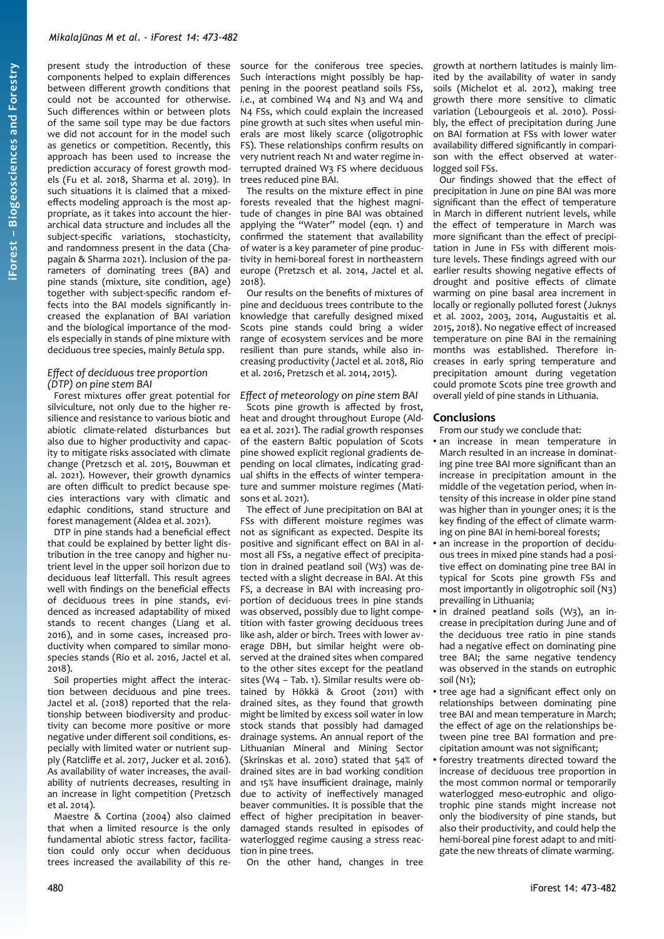present study the introduction of these components helped to explain differences between different growth conditions that could not be accounted for otherwise. Such differences within or between plots of the same soil type may be due factors we did not account for in the model such as genetics or competition. Recently, this approach has been used to increase the prediction accuracy of forest growth models (Fu et al. 2018, Sharma et al. 2019). In such situations it is claimed that a mixedeffects modeling approach is the most appropriate, as it takes into account the hierarchical data structure and includes all the subject-specific variations, stochasticity, and randomness present in the data (Chapagain & Sharma 2021). Inclusion of the parameters of dominating trees (BA) and pine stands (mixture, site condition, age) together with subject-specific random effects into the BAI models significantly increased the explanation of BAI variation and the biological importance of the models especially in stands of pine mixture with deciduous tree species, mainly *Betula* spp.

## *Effect of deciduous tree proportion (DTP) on pine stem BAI*

Forest mixtures offer great potential for silviculture, not only due to the higher resilience and resistance to various biotic and abiotic climate-related disturbances but also due to higher productivity and capacity to mitigate risks associated with climate change (Pretzsch et al. 2015, Bouwman et al. 2021). However, their growth dynamics are often difficult to predict because species interactions vary with climatic and edaphic conditions, stand structure and forest management (Aldea et al. 2021).

DTP in pine stands had a beneficial effect that could be explained by better light distribution in the tree canopy and higher nutrient level in the upper soil horizon due to deciduous leaf litterfall. This result agrees well with findings on the beneficial effects of deciduous trees in pine stands, evidenced as increased adaptability of mixed stands to recent changes (Liang et al. 2016), and in some cases, increased productivity when compared to similar monospecies stands (Rio et al. 2016, Jactel et al. 2018).

Soil properties might affect the interaction between deciduous and pine trees. Jactel et al. (2018) reported that the relationship between biodiversity and productivity can become more positive or more negative under different soil conditions, especially with limited water or nutrient supply (Ratcliffe et al. 2017, Jucker et al. 2016). As availability of water increases, the availability of nutrients decreases, resulting in an increase in light competition (Pretzsch et al. 2014).

Maestre & Cortina (2004) also claimed that when a limited resource is the only fundamental abiotic stress factor, facilitation could only occur when deciduous trees increased the availability of this resource for the coniferous tree species. Such interactions might possibly be happening in the poorest peatland soils FSs, *i.e.*, at combined W4 and N3 and W4 and N4 FSs, which could explain the increased pine growth at such sites when useful minerals are most likely scarce (oligotrophic FS). These relationships confirm results on very nutrient reach N1 and water regime interrupted drained W3 FS where deciduous trees reduced pine BAI.

The results on the mixture effect in pine forests revealed that the highest magnitude of changes in pine BAI was obtained applying the "Water" model (eqn. 1) and confirmed the statement that availability of water is a key parameter of pine productivity in hemi-boreal forest in northeastern europe (Pretzsch et al. 2014, Jactel et al. 2018).

Our results on the benefits of mixtures of pine and deciduous trees contribute to the knowledge that carefully designed mixed Scots pine stands could bring a wider range of ecosystem services and be more resilient than pure stands, while also increasing productivity (Jactel et al. 2018, Rio et al. 2016, Pretzsch et al. 2014, 2015).

# *Effect of meteorology on pine stem BAI*

Scots pine growth is affected by frost, heat and drought throughout Europe (Aldea et al. 2021). The radial growth responses of the eastern Baltic population of Scots pine showed explicit regional gradients depending on local climates, indicating gradual shifts in the effects of winter temperature and summer moisture regimes (Matisons et al. 2021).

The effect of June precipitation on BAI at FSs with different moisture regimes was not as significant as expected. Despite its positive and significant effect on BAI in almost all FSs, a negative effect of precipitation in drained peatland soil (W3) was detected with a slight decrease in BAI. At this FS, a decrease in BAI with increasing proportion of deciduous trees in pine stands was observed, possibly due to light competition with faster growing deciduous trees like ash, alder or birch. Trees with lower average DBH, but similar height were observed at the drained sites when compared to the other sites except for the peatland sites (W4 – [Tab. 1](#page-3-1)). Similar results were obtained by Hökkä & Groot (2011) with drained sites, as they found that growth might be limited by excess soil water in low stock stands that possibly had damaged drainage systems. An annual report of the Lithuanian Mineral and Mining Sector (Skrinskas et al. 2010) stated that 54% of drained sites are in bad working condition and 15% have insufficient drainage, mainly due to activity of ineffectively managed beaver communities. It is possible that the effect of higher precipitation in beaverdamaged stands resulted in episodes of waterlogged regime causing a stress reaction in pine trees.

On the other hand, changes in tree

growth at northern latitudes is mainly limited by the availability of water in sandy soils (Michelot et al. 2012), making tree growth there more sensitive to climatic variation (Lebourgeois et al. 2010). Possibly, the effect of precipitation during June on BAI formation at FSs with lower water availability differed significantly in comparison with the effect observed at waterlogged soil FSs.

Our findings showed that the effect of precipitation in June on pine BAI was more significant than the effect of temperature in March in different nutrient levels, while the effect of temperature in March was more significant than the effect of precipitation in June in FSs with different moisture levels. These findings agreed with our earlier results showing negative effects of drought and positive effects of climate warming on pine basal area increment in locally or regionally polluted forest (Juknys et al. 2002, 2003, 2014, Augustaitis et al. 2015, 2018). No negative effect of increased temperature on pine BAI in the remaining months was established. Therefore increases in early spring temperature and precipitation amount during vegetation could promote Scots pine tree growth and overall yield of pine stands in Lithuania.

## **Conclusions**

From our study we conclude that:

- an increase in mean temperature in March resulted in an increase in dominating pine tree BAI more significant than an increase in precipitation amount in the middle of the vegetation period, when intensity of this increase in older pine stand was higher than in younger ones; it is the key finding of the effect of climate warming on pine BAI in hemi-boreal forests;
- an increase in the proportion of deciduous trees in mixed pine stands had a positive effect on dominating pine tree BAI in typical for Scots pine growth FSs and most importantly in oligotrophic soil (N3) prevailing in Lithuania;
- in drained peatland soils  $(W_3)$ , an increase in precipitation during June and of the deciduous tree ratio in pine stands had a negative effect on dominating pine tree BAI; the same negative tendency was observed in the stands on eutrophic soil (N1);
- tree age had a significant effect only on relationships between dominating pine tree BAI and mean temperature in March; the effect of age on the relationships between pine tree BAI formation and precipitation amount was not significant;
- forestry treatments directed toward the increase of deciduous tree proportion in the most common normal or temporarily waterlogged meso-eutrophic and oligotrophic pine stands might increase not only the biodiversity of pine stands, but also their productivity, and could help the hemi-boreal pine forest adapt to and mitigate the new threats of climate warming.

**iForest –**

**Bio geoscie**

**nces a nd Forestry**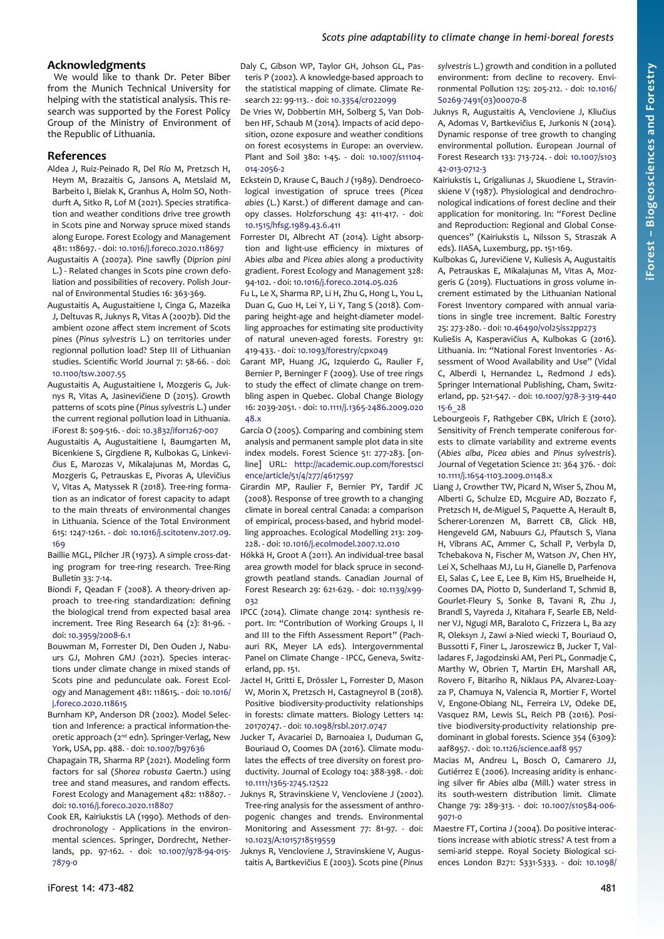# **Acknowledgments**

We would like to thank Dr. Peter Biber from the Munich Technical University for helping with the statistical analysis. This research was supported by the Forest Policy Group of the Ministry of Environment of the Republic of Lithuania.

#### **References**

- Aldea J, Ruiz-Peinado R, Del Río M, Pretzsch H, Heym M, Brazaitis G, Jansons A, Metslaid M, Barbeito I, Bielak K, Granhus A, Holm SO, Nothdurft A, Sitko R, Lof M (2021). Species stratification and weather conditions drive tree growth in Scots pine and Norway spruce mixed stands along Europe. Forest Ecology and Management 481: 118697. - doi: [10.1016/j.foreco.2020.118697](https://doi.org/10.1016/j.foreco.2020.118697)
- Augustaitis A (2007a). Pine sawfly (*Diprion pini* L.) - Related changes in Scots pine crown defoliation and possibilities of recovery. Polish Journal of Environmental Studies 16: 363-369.
- Augustaitis A, Augustaitiene I, Cinga G, Mazeika J, Deltuvas R, Juknys R, Vitas A (2007b). Did the ambient ozone affect stem increment of Scots pines (*Pinus sylvestris* L.) on territories under regionnal pollution load? Step III of Lithuanian studies. Scientific World Journal 7: 58-66. - doi: [10.1100/tsw.2007.55](https://doi.org/10.1100/tsw.2007.55)
- Augustaitis A, Augustaitiene I, Mozgeris G, Juknys R, Vitas A, Jasinevičiene D (2015). Growth patterns of scots pine (*Pinus sylvestris* L.) under the current regional pollution load in Lithuania. iForest 8: 509-516. - doi: [10.3832/ifor1267-007](https://doi.org/10.3832/ifor1267-007)
- Augustaitis A, Augustaitiene I, Baumgarten M, Bicenkiene S, Girgdiene R, Kulbokas G, Linkevičius E, Marozas V, Mikalajunas M, Mordas G, Mozgeris G, Petrauskas E, Pivoras A, Ulevičius V, Vitas A, Matyssek R (2018). Tree-ring formation as an indicator of forest capacity to adapt to the main threats of environmental changes in Lithuania. Science of the Total Environment 615: 1247-1261. - doi: [10.1016/j.scitotenv.2017.09.](https://doi.org/10.1016/j.scitotenv.2017.09.169) [169](https://doi.org/10.1016/j.scitotenv.2017.09.169)
- Baillie MGL, Pilcher JR (1973). A simple cross-dating program for tree-ring research. Tree-Ring Bulletin 33: 7-14.
- Biondi F, Qeadan F (2008). A theory-driven approach to tree-ring standardization: defining the biological trend from expected basal area increment. Tree Ring Research 64 (2): 81-96. doi: [10.3959/2008-6.1](https://doi.org/10.3959/2008-6.1)
- Bouwman M, Forrester DI, Den Ouden J, Nabuurs GJ, Mohren GMJ (2021). Species interactions under climate change in mixed stands of Scots pine and pedunculate oak. Forest Ecology and Management 481: 118615. - doi: [10.1016/](https://doi.org/10.1016/j.foreco.2020.118615) [j.foreco.2020.118615](https://doi.org/10.1016/j.foreco.2020.118615)
- Burnham KP, Anderson DR (2002). Model Selection and Inference: a practical information-theoretic approach (2<sup>nd</sup> edn). Springer-Verlag, New York, USA, pp. 488. - doi: [10.1007/b97636](https://doi.org/10.1007/b97636)
- Chapagain TR, Sharma RP (2021). Modeling form factors for sal (*Shorea robusta* Gaertn.) using tree and stand measures, and random effects. Forest Ecology and Management 482: 118807. doi: [10.1016/j.foreco.2020.118807](https://doi.org/10.1016/j.foreco.2020.118807)
- Cook ER, Kairiukstis LA (1990). Methods of dendrochronology - Applications in the environmental sciences. Springer, Dordrecht, Netherlands, pp. 97-162. - doi: [10.1007/978-94-015-](https://doi.org/10.1007/978-94-015-7879-0) [7879-0](https://doi.org/10.1007/978-94-015-7879-0)

De Vries W, Dobbertin MH, Solberg S, Van Dobben HF, Schaub M (2014). Impacts of acid deposition, ozone exposure and weather conditions on forest ecosystems in Europe: an overview. Plant and Soil 380: 1-45. - doi: [10.1007/s11104-](https://doi.org/10.1007/s11104-014-2056-2) [014-2056-2](https://doi.org/10.1007/s11104-014-2056-2)

- Eckstein D, Krause C, Bauch J (1989). Dendroecological investigation of spruce trees (*Picea abies* (L.) Karst.) of different damage and canopy classes. Holzforschung 43: 411-417. - doi: [10.1515/hfsg.1989.43.6.411](https://doi.org/10.1515/hfsg.1989.43.6.411)
- Forrester DI, Albrecht AT (2014). Light absorption and light-use efficiency in mixtures of *Abies alba* and *Picea abies* along a productivity gradient. Forest Ecology and Management 328: 94-102. - doi: [10.1016/j.foreco.2014.05.026](https://doi.org/10.1016/j.foreco.2014.05.026)
- Fu L, Le X, Sharma RP, Li H, Zhu G, Hong L, You L, Duan G, Guo H, Lei Y, Li Y, Tang S (2018). Comparing height-age and height-diameter modelling approaches for estimating site productivity of natural uneven-aged forests. Forestry 91: 419-433. - doi: [10.1093/forestry/cpx049](https://doi.org/10.1093/forestry/cpx049)
- Garant MP, Huang JG, Izquierdo G, Raulier F, Bernier P, Berninger F (2009). Use of tree rings to study the effect of climate change on trembling aspen in Quebec. Global Change Biology 16: 2039-2051. - doi: [10.1111/j.1365-2486.2009.020](https://doi.org/10.1111/j.1365-2486.2009.02048.x) [48.x](https://doi.org/10.1111/j.1365-2486.2009.02048.x)
- García O (2005). Comparing and combining stem analysis and permanent sample plot data in site index models. Forest Science 51: 277-283. [online] URL: [http://academic.oup.com/forestsci](http://academic.oup.com/forestscience/article/51/4/277/4617597) [ence/article/51/4/277/4617597](http://academic.oup.com/forestscience/article/51/4/277/4617597)
- Girardin MP, Raulier F, Bernier PY, Tardif JC (2008). Response of tree growth to a changing climate in boreal central Canada: a comparison of empirical, process-based, and hybrid modelling approaches. Ecological Modelling 213: 209- 228. - doi: [10.1016/j.ecolmodel.2007.12.010](https://doi.org/10.1016/j.ecolmodel.2007.12.010)
- Hökkä H, Groot A (2011). An individual-tree basal area growth model for black spruce in secondgrowth peatland stands. Canadian Journal of Forest Research 29: 621-629. - doi: [10.1139/x99-](https://doi.org/10.1139/x99-032) [032](https://doi.org/10.1139/x99-032)
- IPCC (2014). Climate change 2014: synthesis report. In: "Contribution of Working Groups I, II and III to the Fifth Assessment Report" (Pachauri RK, Meyer LA eds). Intergovernmental Panel on Climate Change - IPCC, Geneva, Switzerland, pp. 151.
- Jactel H, Gritti E, Drössler L, Forrester D, Mason W, Morin X, Pretzsch H, Castagneyrol B (2018). Positive biodiversity-productivity relationships in forests: climate matters. Biology Letters 14: 20170747. - doi: [10.1098/rsbl.2017.0747](https://doi.org/10.1098/rsbl.2017.0747)
- Jucker T, Avacariei D, Barnoaiea I, Duduman G, Bouriaud O, Coomes DA (2016). Climate modulates the effects of tree diversity on forest productivity. Journal of Ecology 104: 388-398. - doi: [10.1111/1365-2745.12522](https://doi.org/10.1111/1365-2745.12522)
- Juknys R, Stravinskiene V, Vencloviene J (2002). Tree-ring analysis for the assessment of anthropogenic changes and trends. Environmental Monitoring and Assessment 77: 81-97. - doi: [10.1023/A:1015718519559](https://doi.org/10.1023/A:1015718519559)
- Juknys R, Vencloviene J, Stravinskiene V, Augustaitis A, Bartkevičius E (2003). Scots pine (*Pinus*

*sylvestris* L.) growth and condition in a polluted environment: from decline to recovery. Environmental Pollution 125: 205-212. - doi: [10.1016/](https://doi.org/10.1016/S0269-7491(03)00070-8) [S0269-7491\(03\)00070-8](https://doi.org/10.1016/S0269-7491(03)00070-8)

- Juknys R, Augustaitis A, Vencloviene J, Kliučius A, Adomas V, Bartkevičius E, Jurkonis N (2014). Dynamic response of tree growth to changing environmental pollution. European Journal of Forest Research 133: 713-724. - doi: [10.1007/s103](https://doi.org/10.1007/s10342-013-0712-3) [42-013-0712-3](https://doi.org/10.1007/s10342-013-0712-3)
- Kairiukstis L, Grigaliunas J, Skuodiene L, Stravinskiene V (1987). Physiological and dendrochronological indications of forest decline and their application for monitoring. In: "Forest Decline and Reproduction: Regional and Global Consequences" (Kairiukstis L, Nilsson S, Straszak A eds). IIASA, Luxemburg, pp. 151-169.
- Kulbokas G, Jurevičiene V, Kuliesis A, Augustaitis A, Petrauskas E, Mikalajunas M, Vitas A, Mozgeris G (2019). Fluctuations in gross volume increment estimated by the Lithuanian National Forest Inventory compared with annual variations in single tree increment. Baltic Forestry 25: 273-280. - doi: [10.46490/vol25iss2pp273](https://doi.org/10.46490/vol25iss2pp273)
- Kuliešis A, Kasperavičius A, Kulbokas G (2016). Lithuania. In: "National Forest Inventories - Assessment of Wood Availability and Use" (Vidal C, Alberdi I, Hernandez L, Redmond J eds). Springer International Publishing, Cham, Switzerland, pp. 521-547. - doi: [10.1007/978-3-319-440](https://doi.org/10.1007/978-3-319-44015-6_28) [15-6\\_28](https://doi.org/10.1007/978-3-319-44015-6_28)
- Lebourgeois F, Rathgeber CBK, Ulrich E (2010). Sensitivity of French temperate coniferous forests to climate variability and extreme events (*Abies alba*, *Picea abies* and *Pinus sylvestris*). Journal of Vegetation Science 21: 364 376. - doi: [10.1111/j.1654-1103.2009.01148.x](https://doi.org/10.1111/j.1654-1103.2009.01148.x)
- Liang J, Crowther TW, Picard N, Wiser S, Zhou M, Alberti G, Schulze ED, Mcguire AD, Bozzato F, Pretzsch H, de-Miguel S, Paquette A, Herault B, Scherer-Lorenzen M, Barrett CB, Glick HB, Hengeveld GM, Nabuurs GJ, Pfautsch S, Viana H, Vibrans AC, Ammer C, Schall P, Verbyla D, Tchebakova N, Fischer M, Watson JV, Chen HY, Lei X, Schelhaas MJ, Lu H, Gianelle D, Parfenova EI, Salas C, Lee E, Lee B, Kim HS, Bruelheide H, Coomes DA, Piotto D, Sunderland T, Schmid B, Gourlet-Fleury S, Sonke B, Tavani R, Zhu J, Brandl S, Vayreda J, Kitahara F, Searle EB, Neldner VJ, Ngugi MR, Baraloto C, Frizzera L, Ba azy R, Oleksyn J, Zawi a-Nied wiecki T, Bouriaud O, Bussotti F, Finer L, Jaroszewicz B, Jucker T, Valladares F, Jagodzinski AM, Peri PL, Gonmadje C, Marthy W, Obrien T, Martin EH, Marshall AR, Rovero F, Bitariho R, Niklaus PA, Alvarez-Loayza P, Chamuya N, Valencia R, Mortier F, Wortel V, Engone-Obiang NL, Ferreira LV, Odeke DE, Vasquez RM, Lewis SL, Reich PB (2016). Positive biodiversity-productivity relationship predominant in global forests. Science 354 (6309): aaf8957. - doi: [10.1126/science.aaf8 957](https://doi.org/10.1126/science.aaf8957)
- Macias M, Andreu L, Bosch O, Camarero JJ, Gutiérrez E (2006). Increasing aridity is enhancing silver fir *Abies alba* (Mill.) water stress in its south-western distribution limit. Climate Change 79: 289-313. - doi: [10.1007/s10584-006-](https://doi.org/10.1007/s10584-006-9071-0) [9071-0](https://doi.org/10.1007/s10584-006-9071-0)
- Maestre FT, Cortina J (2004). Do positive interactions increase with abiotic stress? A test from a semi-arid steppe. Royal Society Biological sciences London B271: S331-S333. - doi: [10.1098/](https://doi.org/10.1098/rsbl.2004.0181)